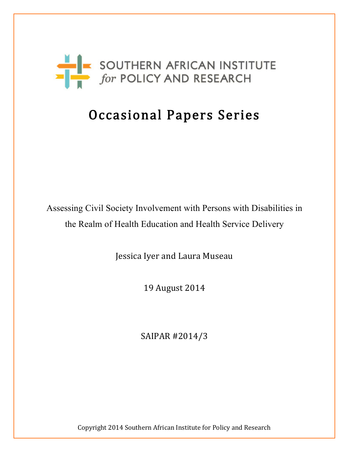

# Occasional Papers Series

Assessing Civil Society Involvement with Persons with Disabilities in the Realm of Health Education and Health Service Delivery

Jessica Iyer and Laura Museau

19 August 2014

SAIPAR #2014/3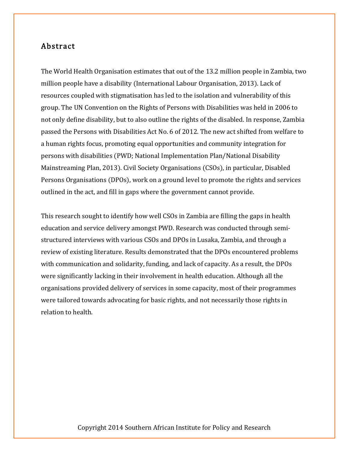## Abstract

The World Health Organisation estimates that out of the 13.2 million people in Zambia, two million people have a disability (International Labour Organisation, 2013). Lack of resources coupled with stigmatisation has led to the isolation and vulnerability of this group. The UN Convention on the Rights of Persons with Disabilities was held in 2006 to not only define disability, but to also outline the rights of the disabled. In response, Zambia passed the Persons with Disabilities Act No. 6 of 2012. The new act shifted from welfare to a human rights focus, promoting equal opportunities and community integration for persons with disabilities (PWD; National Implementation Plan/National Disability Mainstreaming Plan, 2013). Civil Society Organisations (CSOs), in particular, Disabled Persons Organisations (DPOs), work on a ground level to promote the rights and services outlined in the act, and fill in gaps where the government cannot provide.

This research sought to identify how well CSOs in Zambia are filling the gaps in health education and service delivery amongst PWD. Research was conducted through semistructured interviews with various CSOs and DPOs in Lusaka, Zambia, and through a review of existing literature. Results demonstrated that the DPOs encountered problems with communication and solidarity, funding, and lack of capacity. As a result, the DPOs were significantly lacking in their involvement in health education. Although all the organisations provided delivery of services in some capacity, most of their programmes were tailored towards advocating for basic rights, and not necessarily those rights in relation to health.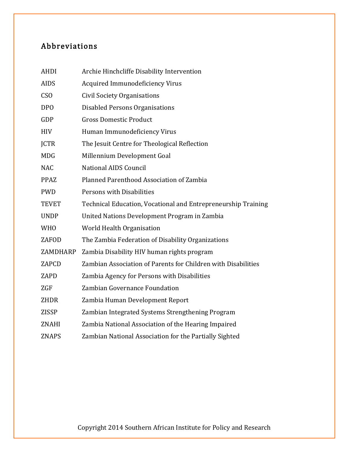## Abbreviations

| <b>AHDI</b>     | Archie Hinchcliffe Disability Intervention                    |
|-----------------|---------------------------------------------------------------|
| <b>AIDS</b>     | <b>Acquired Immunodeficiency Virus</b>                        |
| CS <sub>O</sub> | <b>Civil Society Organisations</b>                            |
| <b>DPO</b>      | Disabled Persons Organisations                                |
| GDP             | <b>Gross Domestic Product</b>                                 |
| <b>HIV</b>      | Human Immunodeficiency Virus                                  |
| <b>JCTR</b>     | The Jesuit Centre for Theological Reflection                  |
| <b>MDG</b>      | Millennium Development Goal                                   |
| <b>NAC</b>      | <b>National AIDS Council</b>                                  |
| <b>PPAZ</b>     | Planned Parenthood Association of Zambia                      |
| <b>PWD</b>      | Persons with Disabilities                                     |
| <b>TEVET</b>    | Technical Education, Vocational and Entrepreneurship Training |
| <b>UNDP</b>     | United Nations Development Program in Zambia                  |
| <b>WHO</b>      | World Health Organisation                                     |
| ZAFOD           | The Zambia Federation of Disability Organizations             |
| ZAMDHARP        | Zambia Disability HIV human rights program                    |
| ZAPCD           | Zambian Association of Parents for Children with Disabilities |
| ZAPD            | Zambia Agency for Persons with Disabilities                   |
| ZGF             | Zambian Governance Foundation                                 |
| <b>ZHDR</b>     | Zambia Human Development Report                               |
| <b>ZISSP</b>    | Zambian Integrated Systems Strengthening Program              |
| ZNAHI           | Zambia National Association of the Hearing Impaired           |
| <b>ZNAPS</b>    | Zambian National Association for the Partially Sighted        |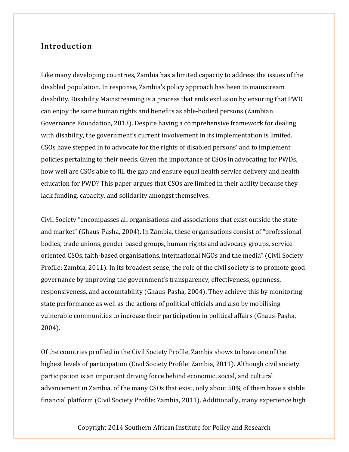## Introduction

Like many developing countries, Zambia has a limited capacity to address the issues of the disabled population. In response, Zambia's policy approach has been to mainstream disability. Disability Mainstreaming is a process that ends exclusion by ensuring that PWD can enjoy the same human rights and benefits as able-bodied persons (Zambian Governance Foundation, 2013). Despite having a comprehensive framework for dealing with disability, the government's current involvement in its implementation is limited. CSOs have stepped in to advocate for the rights of disabled persons' and to implement policies pertaining to their needs. Given the importance of CSOs in advocating for PWDs, how well are CSOs able to fill the gap and ensure equal health service delivery and health education for PWD? This paper argues that CSOs are limited in their ability because they lack funding, capacity, and solidarity amongst themselves.

Civil Society "encompasses all organisations and associations that exist outside the state and market" (Ghaus-Pasha, 2004). In Zambia, these organisations consist of "professional bodies, trade unions, gender based groups, human rights and advocacy groups, serviceoriented CSOs, faith-based organisations, international NGOs and the media" (Civil Society Profile: Zambia, 2011). In its broadest sense, the role of the civil society is to promote good governance by improving the government's transparency, effectiveness, openness, responsiveness, and accountability (Ghaus-Pasha, 2004). They achieve this by monitoring state performance as well as the actions of political officials and also by mobilising vulnerable communities to increase their participation in political affairs (Ghaus-Pasha, 2004).

Of the countries profiled in the Civil Society Profile, Zambia shows to have one of the highest levels of participation (Civil Society Profile: Zambia, 2011). Although civil society participation is an important driving force behind economic, social, and cultural advancement in Zambia, of the many CSOs that exist, only about 50% of them have a stable financial platform (Civil Society Profile: Zambia, 2011). Additionally, many experience high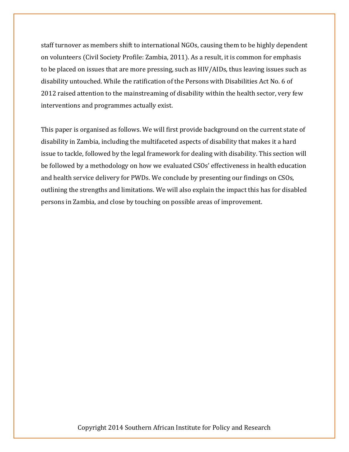staff turnover as members shift to international NGOs, causing them to be highly dependent on volunteers (Civil Society Profile: Zambia, 2011). As a result, it is common for emphasis to be placed on issues that are more pressing, such as HIV/AIDs, thus leaving issues such as disability untouched. While the ratification of the Persons with Disabilities Act No. 6 of 2012 raised attention to the mainstreaming of disability within the health sector, very few interventions and programmes actually exist.

This paper is organised as follows. We will first provide background on the current state of disability in Zambia, including the multifaceted aspects of disability that makes it a hard issue to tackle, followed by the legal framework for dealing with disability. This section will be followed by a methodology on how we evaluated CSOs' effectiveness in health education and health service delivery for PWDs. We conclude by presenting our findings on CSOs, outlining the strengths and limitations. We will also explain the impact this has for disabled persons in Zambia, and close by touching on possible areas of improvement.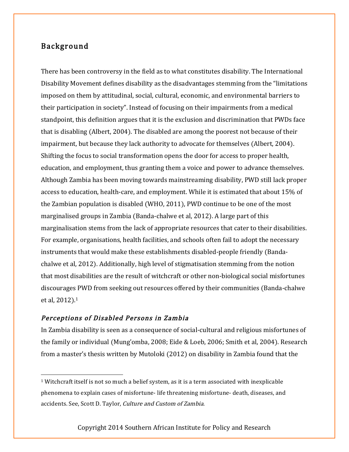## Background

There has been controversy in the field as to what constitutes disability. The International Disability Movement defines disability as the disadvantages stemming from the "limitations imposed on them by attitudinal, social, cultural, economic, and environmental barriers to their participation in society". Instead of focusing on their impairments from a medical standpoint, this definition argues that it is the exclusion and discrimination that PWDs face that is disabling (Albert, 2004). The disabled are among the poorest not because of their impairment, but because they lack authority to advocate for themselves (Albert, 2004). Shifting the focus to social transformation opens the door for access to proper health, education, and employment, thus granting them a voice and power to advance themselves. Although Zambia has been moving towards mainstreaming disability, PWD still lack proper access to education, health-care, and employment. While it is estimated that about 15% of the Zambian population is disabled (WHO, 2011), PWD continue to be one of the most marginalised groups in Zambia (Banda-chalwe et al, 2012). A large part of this marginalisation stems from the lack of appropriate resources that cater to their disabilities. For example, organisations, health facilities, and schools often fail to adopt the necessary instruments that would make these establishments disabled-people friendly (Bandachalwe et al, 2012). Additionally, high level of stigmatisation stemming from the notion that most disabilities are the result of witchcraft or other non-biological social misfortunes discourages PWD from seeking out resources offered by their communities (Banda-chalwe et al, 2012).1

## Perceptions of Disabled Persons in Zambia

In Zambia disability is seen as a consequence of social-cultural and religious misfortunes of the family or individual (Mung'omba, 2008; Eide & Loeb, 2006; Smith et al, 2004). Research from a master's thesis written by Mutoloki (2012) on disability in Zambia found that the

 $1$  Witchcraft itself is not so much a belief system, as it is a term associated with inexplicable phenomena to explain cases of misfortune- life threatening misfortune- death, diseases, and accidents. See, Scott D. Taylor, Culture and Custom of Zambia.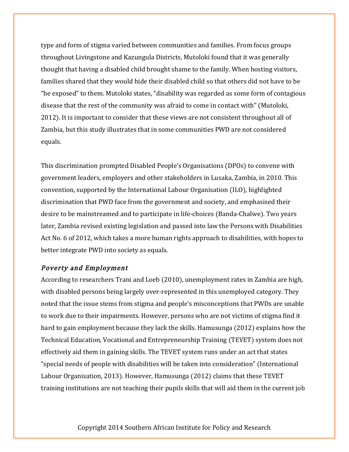type and form of stigma varied between communities and families. From focus groups throughout Livingstone and Kazungula Districts, Mutoloki found that it was generally thought that having a disabled child brought shame to the family. When hosting visitors, families shared that they would hide their disabled child so that others did not have to be "be exposed" to them. Mutoloki states, "disability was regarded as some form of contagious disease that the rest of the community was afraid to come in contact with" (Mutoloki, 2012). It is important to consider that these views are not consistent throughout all of Zambia, but this study illustrates that in some communities PWD are not considered equals.

This discrimination prompted Disabled People's Organisations (DPOs) to convene with government leaders, employers and other stakeholders in Lusaka, Zambia, in 2010. This convention, supported by the International Labour Organisation (ILO), highlighted discrimination that PWD face from the government and society, and emphasised their desire to be mainstreamed and to participate in life-choices (Banda-Chalwe). Two years later, Zambia revised existing legislation and passed into law the Persons with Disabilities Act No. 6 of 2012, which takes a more human rights approach to disabilities, with hopes to better integrate PWD into society as equals.

#### Poverty and Employment

According to researchers Trani and Loeb (2010), unemployment rates in Zambia are high, with disabled persons being largely over-represented in this unemployed category. They noted that the issue stems from stigma and people's misconceptions that PWDs are unable to work due to their impairments. However, persons who are not victims of stigma find it hard to gain employment because they lack the skills. Hamusunga (2012) explains how the Technical Education, Vocational and Entrepreneurship Training (TEVET) system does not effectively aid them in gaining skills. The TEVET system runs under an act that states "special needs of people with disabilities will be taken into consideration" (International Labour Organisation, 2013). However, Hamusunga (2012) claims that these TEVET training institutions are not teaching their pupils skills that will aid them in the current job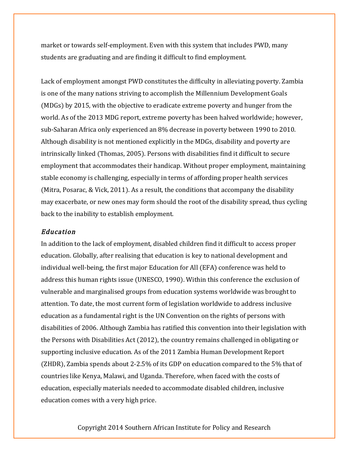market or towards self-employment. Even with this system that includes PWD, many students are graduating and are finding it difficult to find employment.

Lack of employment amongst PWD constitutes the difficulty in alleviating poverty. Zambia is one of the many nations striving to accomplish the Millennium Development Goals (MDGs) by 2015, with the objective to eradicate extreme poverty and hunger from the world. As of the 2013 MDG report, extreme poverty has been halved worldwide; however, sub-Saharan Africa only experienced an 8% decrease in poverty between 1990 to 2010. Although disability is not mentioned explicitly in the MDGs, disability and poverty are intrinsically linked (Thomas, 2005). Persons with disabilities find it difficult to secure employment that accommodates their handicap. Without proper employment, maintaining stable economy is challenging, especially in terms of affording proper health services (Mitra, Posarac, & Vick, 2011). As a result, the conditions that accompany the disability may exacerbate, or new ones may form should the root of the disability spread, thus cycling back to the inability to establish employment.

#### Education

In addition to the lack of employment, disabled children find it difficult to access proper education. Globally, after realising that education is key to national development and individual well-being, the first major Education for All (EFA) conference was held to address this human rights issue (UNESCO, 1990). Within this conference the exclusion of vulnerable and marginalised groups from education systems worldwide was brought to attention. To date, the most current form of legislation worldwide to address inclusive education as a fundamental right is the UN Convention on the rights of persons with disabilities of 2006. Although Zambia has ratified this convention into their legislation with the Persons with Disabilities Act (2012), the country remains challenged in obligating or supporting inclusive education. As of the 2011 Zambia Human Development Report (ZHDR), Zambia spends about 2-2.5% of its GDP on education compared to the 5% that of countries like Kenya, Malawi, and Uganda. Therefore, when faced with the costs of education, especially materials needed to accommodate disabled children, inclusive education comes with a very high price.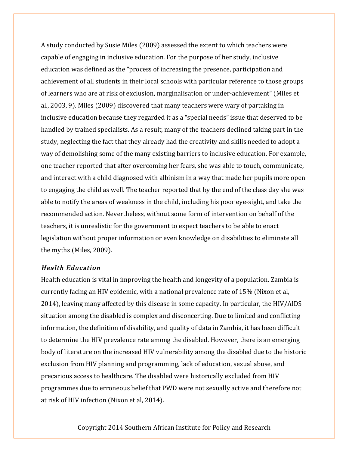A study conducted by Susie Miles (2009) assessed the extent to which teachers were capable of engaging in inclusive education. For the purpose of her study, inclusive education was defined as the "process of increasing the presence, participation and achievement of all students in their local schools with particular reference to those groups of learners who are at risk of exclusion, marginalisation or under-achievement" (Miles et al., 2003, 9). Miles (2009) discovered that many teachers were wary of partaking in inclusive education because they regarded it as a "special needs" issue that deserved to be handled by trained specialists. As a result, many of the teachers declined taking part in the study, neglecting the fact that they already had the creativity and skills needed to adopt a way of demolishing some of the many existing barriers to inclusive education. For example, one teacher reported that after overcoming her fears, she was able to touch, communicate, and interact with a child diagnosed with albinism in a way that made her pupils more open to engaging the child as well. The teacher reported that by the end of the class day she was able to notify the areas of weakness in the child, including his poor eye-sight, and take the recommended action. Nevertheless, without some form of intervention on behalf of the teachers, it is unrealistic for the government to expect teachers to be able to enact legislation without proper information or even knowledge on disabilities to eliminate all the myths (Miles, 2009).

#### Health Education

Health education is vital in improving the health and longevity of a population. Zambia is currently facing an HIV epidemic, with a national prevalence rate of 15% (Nixon et al, 2014), leaving many affected by this disease in some capacity. In particular, the HIV/AIDS situation among the disabled is complex and disconcerting. Due to limited and conflicting information, the definition of disability, and quality of data in Zambia, it has been difficult to determine the HIV prevalence rate among the disabled. However, there is an emerging body of literature on the increased HIV vulnerability among the disabled due to the historic exclusion from HIV planning and programming, lack of education, sexual abuse, and precarious access to healthcare. The disabled were historically excluded from HIV programmes due to erroneous belief that PWD were not sexually active and therefore not at risk of HIV infection (Nixon et al, 2014).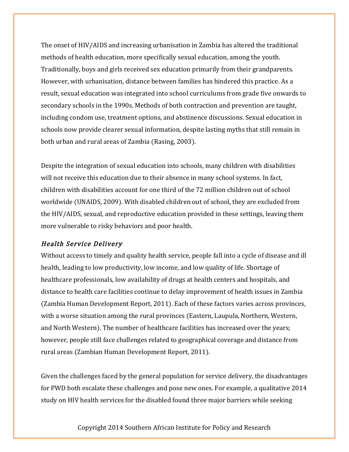The onset of HIV/AIDS and increasing urbanisation in Zambia has altered the traditional methods of health education, more specifically sexual education, among the youth. Traditionally, boys and girls received sex education primarily from their grandparents. However, with urbanisation, distance between families has hindered this practice. As a result, sexual education was integrated into school curriculums from grade five onwards to secondary schools in the 1990s. Methods of both contraction and prevention are taught, including condom use, treatment options, and abstinence discussions. Sexual education in schools now provide clearer sexual information, despite lasting myths that still remain in both urban and rural areas of Zambia (Rasing, 2003).

Despite the integration of sexual education into schools, many children with disabilities will not receive this education due to their absence in many school systems. In fact, children with disabilities account for one third of the 72 million children out of school worldwide (UNAIDS, 2009). With disabled children out of school, they are excluded from the HIV/AIDS, sexual, and reproductive education provided in these settings, leaving them more vulnerable to risky behaviors and poor health.

#### Health Service Delivery

Without access to timely and quality health service, people fall into a cycle of disease and ill health, leading to low productivity, low income, and low quality of life. Shortage of healthcare professionals, low availability of drugs at health centers and hospitals, and distance to health care facilities continue to delay improvement of health issues in Zambia (Zambia Human Development Report, 2011). Each of these factors varies across provinces, with a worse situation among the rural provinces (Eastern, Laupula, Northern, Western, and North Western). The number of healthcare facilities has increased over the years; however, people still face challenges related to geographical coverage and distance from rural areas (Zambian Human Development Report, 2011).

Given the challenges faced by the general population for service delivery, the disadvantages for PWD both escalate these challenges and pose new ones. For example, a qualitative 2014 study on HIV health services for the disabled found three major barriers while seeking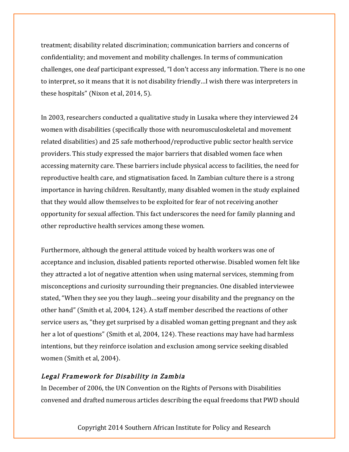treatment; disability related discrimination; communication barriers and concerns of confidentiality; and movement and mobility challenges. In terms of communication challenges, one deaf participant expressed, "I don't access any information. There is no one to interpret, so it means that it is not disability friendly…I wish there was interpreters in these hospitals" (Nixon et al, 2014, 5).

In 2003, researchers conducted a qualitative study in Lusaka where they interviewed 24 women with disabilities (specifically those with neuromusculoskeletal and movement related disabilities) and 25 safe motherhood/reproductive public sector health service providers. This study expressed the major barriers that disabled women face when accessing maternity care. These barriers include physical access to facilities, the need for reproductive health care, and stigmatisation faced. In Zambian culture there is a strong importance in having children. Resultantly, many disabled women in the study explained that they would allow themselves to be exploited for fear of not receiving another opportunity for sexual affection. This fact underscores the need for family planning and other reproductive health services among these women.

Furthermore, although the general attitude voiced by health workers was one of acceptance and inclusion, disabled patients reported otherwise. Disabled women felt like they attracted a lot of negative attention when using maternal services, stemming from misconceptions and curiosity surrounding their pregnancies. One disabled interviewee stated, "When they see you they laugh…seeing your disability and the pregnancy on the other hand" (Smith et al, 2004, 124). A staff member described the reactions of other service users as, "they get surprised by a disabled woman getting pregnant and they ask her a lot of questions" (Smith et al, 2004, 124). These reactions may have had harmless intentions, but they reinforce isolation and exclusion among service seeking disabled women (Smith et al, 2004).

## Legal Framework for Disability in Zambia

In December of 2006, the UN Convention on the Rights of Persons with Disabilities convened and drafted numerous articles describing the equal freedoms that PWD should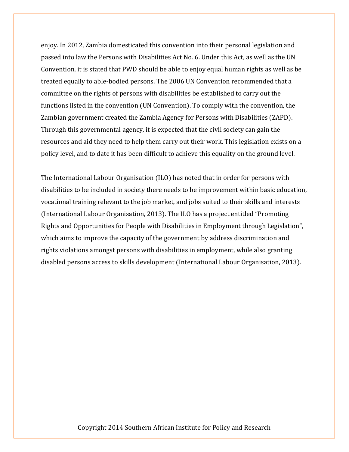enjoy. In 2012, Zambia domesticated this convention into their personal legislation and passed into law the Persons with Disabilities Act No. 6. Under this Act, as well as the UN Convention, it is stated that PWD should be able to enjoy equal human rights as well as be treated equally to able-bodied persons. The 2006 UN Convention recommended that a committee on the rights of persons with disabilities be established to carry out the functions listed in the convention (UN Convention). To comply with the convention, the Zambian government created the Zambia Agency for Persons with Disabilities (ZAPD). Through this governmental agency, it is expected that the civil society can gain the resources and aid they need to help them carry out their work. This legislation exists on a policy level, and to date it has been difficult to achieve this equality on the ground level.

The International Labour Organisation (ILO) has noted that in order for persons with disabilities to be included in society there needs to be improvement within basic education, vocational training relevant to the job market, and jobs suited to their skills and interests (International Labour Organisation, 2013). The ILO has a project entitled "Promoting Rights and Opportunities for People with Disabilities in Employment through Legislation", which aims to improve the capacity of the government by address discrimination and rights violations amongst persons with disabilities in employment, while also granting disabled persons access to skills development (International Labour Organisation, 2013).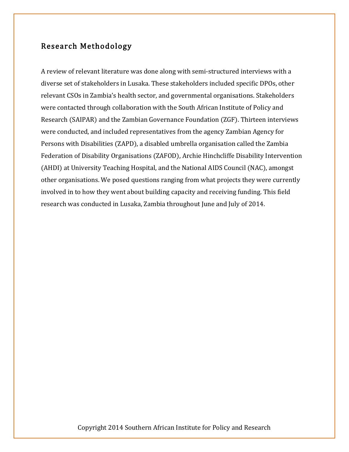## Research Methodology

A review of relevant literature was done along with semi-structured interviews with a diverse set of stakeholders in Lusaka. These stakeholders included specific DPOs, other relevant CSOs in Zambia's health sector, and governmental organisations. Stakeholders were contacted through collaboration with the South African Institute of Policy and Research (SAIPAR) and the Zambian Governance Foundation (ZGF). Thirteen interviews were conducted, and included representatives from the agency Zambian Agency for Persons with Disabilities (ZAPD), a disabled umbrella organisation called the Zambia Federation of Disability Organisations (ZAFOD), Archie Hinchcliffe Disability Intervention (AHDI) at University Teaching Hospital, and the National AIDS Council (NAC), amongst other organisations. We posed questions ranging from what projects they were currently involved in to how they went about building capacity and receiving funding. This field research was conducted in Lusaka, Zambia throughout June and July of 2014.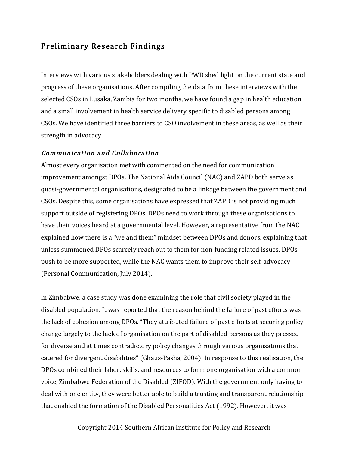## Preliminary Research Findings

Interviews with various stakeholders dealing with PWD shed light on the current state and progress of these organisations. After compiling the data from these interviews with the selected CSOs in Lusaka, Zambia for two months, we have found a gap in health education and a small involvement in health service delivery specific to disabled persons among CSOs. We have identified three barriers to CSO involvement in these areas, as well as their strength in advocacy.

#### Communication and Collaboration

Almost every organisation met with commented on the need for communication improvement amongst DPOs. The National Aids Council (NAC) and ZAPD both serve as quasi-governmental organisations, designated to be a linkage between the government and CSOs. Despite this, some organisations have expressed that ZAPD is not providing much support outside of registering DPOs. DPOs need to work through these organisations to have their voices heard at a governmental level. However, a representative from the NAC explained how there is a "we and them" mindset between DPOs and donors, explaining that unless summoned DPOs scarcely reach out to them for non-funding related issues. DPOs push to be more supported, while the NAC wants them to improve their self-advocacy (Personal Communication, July 2014).

In Zimbabwe, a case study was done examining the role that civil society played in the disabled population. It was reported that the reason behind the failure of past efforts was the lack of cohesion among DPOs. "They attributed failure of past efforts at securing policy change largely to the lack of organisation on the part of disabled persons as they pressed for diverse and at times contradictory policy changes through various organisations that catered for divergent disabilities" (Ghaus-Pasha, 2004). In response to this realisation, the DPOs combined their labor, skills, and resources to form one organisation with a common voice, Zimbabwe Federation of the Disabled (ZIFOD). With the government only having to deal with one entity, they were better able to build a trusting and transparent relationship that enabled the formation of the Disabled Personalities Act (1992). However, it was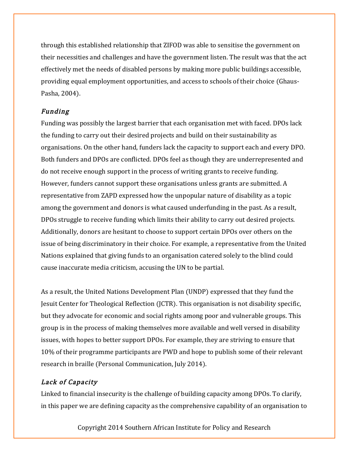through this established relationship that ZIFOD was able to sensitise the government on their necessities and challenges and have the government listen. The result was that the act effectively met the needs of disabled persons by making more public buildings accessible, providing equal employment opportunities, and access to schools of their choice (Ghaus-Pasha, 2004).

## Funding

Funding was possibly the largest barrier that each organisation met with faced. DPOs lack the funding to carry out their desired projects and build on their sustainability as organisations. On the other hand, funders lack the capacity to support each and every DPO. Both funders and DPOs are conflicted. DPOs feel as though they are underrepresented and do not receive enough support in the process of writing grants to receive funding. However, funders cannot support these organisations unless grants are submitted. A representative from ZAPD expressed how the unpopular nature of disability as a topic among the government and donors is what caused underfunding in the past. As a result, DPOs struggle to receive funding which limits their ability to carry out desired projects. Additionally, donors are hesitant to choose to support certain DPOs over others on the issue of being discriminatory in their choice. For example, a representative from the United Nations explained that giving funds to an organisation catered solely to the blind could cause inaccurate media criticism, accusing the UN to be partial.

As a result, the United Nations Development Plan (UNDP) expressed that they fund the Jesuit Center for Theological Reflection (JCTR). This organisation is not disability specific, but they advocate for economic and social rights among poor and vulnerable groups. This group is in the process of making themselves more available and well versed in disability issues, with hopes to better support DPOs. For example, they are striving to ensure that 10% of their programme participants are PWD and hope to publish some of their relevant research in braille (Personal Communication, July 2014).

## Lack of Capacity

Linked to financial insecurity is the challenge of building capacity among DPOs. To clarify, in this paper we are defining capacity as the comprehensive capability of an organisation to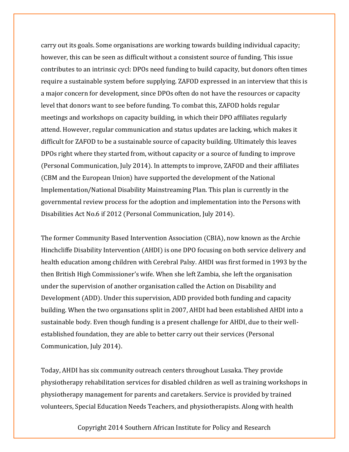carry out its goals. Some organisations are working towards building individual capacity; however, this can be seen as difficult without a consistent source of funding. This issue contributes to an intrinsic cycl: DPOs need funding to build capacity, but donors often times require a sustainable system before supplying. ZAFOD expressed in an interview that this is a major concern for development, since DPOs often do not have the resources or capacity level that donors want to see before funding. To combat this, ZAFOD holds regular meetings and workshops on capacity building, in which their DPO affiliates regularly attend. However, regular communication and status updates are lacking, which makes it difficult for ZAFOD to be a sustainable source of capacity building. Ultimately this leaves DPOs right where they started from, without capacity or a source of funding to improve (Personal Communication, July 2014). In attempts to improve, ZAFOD and their affiliates (CBM and the European Union) have supported the development of the National Implementation/National Disability Mainstreaming Plan. This plan is currently in the governmental review process for the adoption and implementation into the Persons with Disabilities Act No.6 if 2012 (Personal Communication, July 2014).

The former Community Based Intervention Association (CBIA), now known as the Archie Hinchcliffe Disability Intervention (AHDI) is one DPO focusing on both service delivery and health education among children with Cerebral Palsy. AHDI was first formed in 1993 by the then British High Commissioner's wife. When she left Zambia, she left the organisation under the supervision of another organisation called the Action on Disability and Development (ADD). Under this supervision, ADD provided both funding and capacity building. When the two organsations split in 2007, AHDI had been established AHDI into a sustainable body. Even though funding is a present challenge for AHDI, due to their wellestablished foundation, they are able to better carry out their services (Personal Communication, July 2014).

Today, AHDI has six community outreach centers throughout Lusaka. They provide physiotherapy rehabilitation services for disabled children as well as training workshops in physiotherapy management for parents and caretakers. Service is provided by trained volunteers, Special Education Needs Teachers, and physiotherapists. Along with health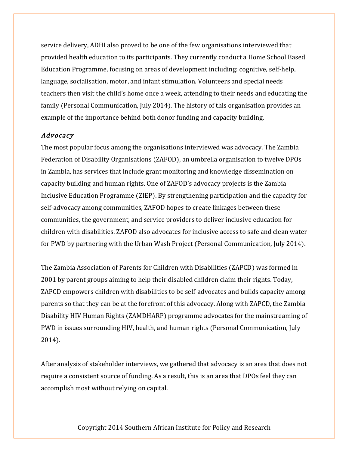service delivery, ADHI also proved to be one of the few organisations interviewed that provided health education to its participants. They currently conduct a Home School Based Education Programme, focusing on areas of development including: cognitive, self-help, language, socialisation, motor, and infant stimulation. Volunteers and special needs teachers then visit the child's home once a week, attending to their needs and educating the family (Personal Communication, July 2014). The history of this organisation provides an example of the importance behind both donor funding and capacity building.

#### Advocacy

The most popular focus among the organisations interviewed was advocacy. The Zambia Federation of Disability Organisations (ZAFOD), an umbrella organisation to twelve DPOs in Zambia, has services that include grant monitoring and knowledge dissemination on capacity building and human rights. One of ZAFOD's advocacy projects is the Zambia Inclusive Education Programme (ZIEP). By strengthening participation and the capacity for self-advocacy among communities, ZAFOD hopes to create linkages between these communities, the government, and service providers to deliver inclusive education for children with disabilities. ZAFOD also advocates for inclusive access to safe and clean water for PWD by partnering with the Urban Wash Project (Personal Communication, July 2014).

The Zambia Association of Parents for Children with Disabilities (ZAPCD) was formed in 2001 by parent groups aiming to help their disabled children claim their rights. Today, ZAPCD empowers children with disabilities to be self-advocates and builds capacity among parents so that they can be at the forefront of this advocacy. Along with ZAPCD, the Zambia Disability HIV Human Rights (ZAMDHARP) programme advocates for the mainstreaming of PWD in issues surrounding HIV, health, and human rights (Personal Communication, July 2014).

After analysis of stakeholder interviews, we gathered that advocacy is an area that does not require a consistent source of funding. As a result, this is an area that DPOs feel they can accomplish most without relying on capital.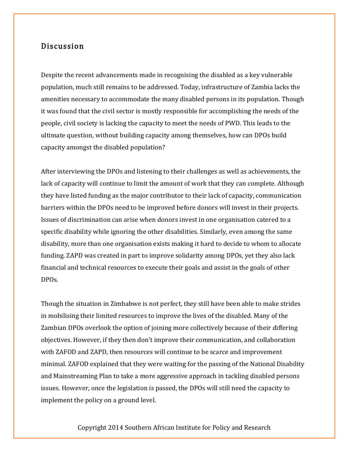## Discussion

Despite the recent advancements made in recognising the disabled as a key vulnerable population, much still remains to be addressed. Today, infrastructure of Zambia lacks the amenities necessary to accommodate the many disabled persons in its population. Though it was found that the civil sector is mostly responsible for accomplishing the needs of the people, civil society is lacking the capacity to meet the needs of PWD. This leads to the ultimate question, without building capacity among themselves, how can DPOs build capacity amongst the disabled population?

After interviewing the DPOs and listening to their challenges as well as achievements, the lack of capacity will continue to limit the amount of work that they can complete. Although they have listed funding as the major contributor to their lack of capacity, communication barriers within the DPOs need to be improved before donors will invest in their projects. Issues of discrimination can arise when donors invest in one organisation catered to a specific disability while ignoring the other disabilities. Similarly, even among the same disability, more than one organisation exists making it hard to decide to whom to allocate funding. ZAPD was created in part to improve solidarity among DPOs, yet they also lack financial and technical resources to execute their goals and assist in the goals of other DPOs.

Though the situation in Zimbabwe is not perfect, they still have been able to make strides in mobilising their limited resources to improve the lives of the disabled. Many of the Zambian DPOs overlook the option of joining more collectively because of their differing objectives. However, if they then don't improve their communication, and collaboration with ZAFOD and ZAPD, then resources will continue to be scarce and improvement minimal. ZAFOD explained that they were waiting for the passing of the National Disability and Mainstreaming Plan to take a more aggressive approach in tackling disabled persons issues. However, once the legislation is passed, the DPOs will still need the capacity to implement the policy on a ground level.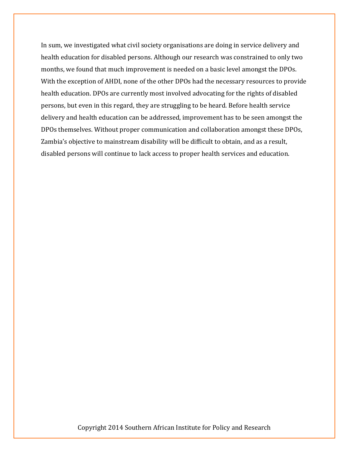In sum, we investigated what civil society organisations are doing in service delivery and health education for disabled persons. Although our research was constrained to only two months, we found that much improvement is needed on a basic level amongst the DPOs. With the exception of AHDI, none of the other DPOs had the necessary resources to provide health education. DPOs are currently most involved advocating for the rights of disabled persons, but even in this regard, they are struggling to be heard. Before health service delivery and health education can be addressed, improvement has to be seen amongst the DPOs themselves. Without proper communication and collaboration amongst these DPOs, Zambia's objective to mainstream disability will be difficult to obtain, and as a result, disabled persons will continue to lack access to proper health services and education.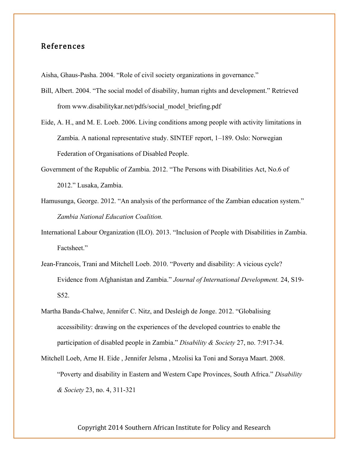## References

Aisha, Ghaus-Pasha. 2004. "Role of civil society organizations in governance."

- Bill, Albert. 2004. "The social model of disability, human rights and development." Retrieved from www.disabilitykar.net/pdfs/social\_model\_briefing.pdf
- Eide, A. H., and M. E. Loeb. 2006. Living conditions among people with activity limitations in Zambia. A national representative study. SINTEF report, 1–189. Oslo: Norwegian Federation of Organisations of Disabled People.
- Government of the Republic of Zambia. 2012. "The Persons with Disabilities Act, No.6 of 2012." Lusaka, Zambia.
- Hamusunga, George. 2012. "An analysis of the performance of the Zambian education system." *Zambia National Education Coalition.*
- International Labour Organization (ILO). 2013. "Inclusion of People with Disabilities in Zambia. Factsheet."
- Jean-Francois, Trani and Mitchell Loeb. 2010. "Poverty and disability: A vicious cycle? Evidence from Afghanistan and Zambia." *Journal of International Development.* 24, S19- S52.
- Martha Banda-Chalwe, Jennifer C. Nitz, and Desleigh de Jonge. 2012. "Globalising accessibility: drawing on the experiences of the developed countries to enable the participation of disabled people in Zambia." *Disability & Society* 27, no. 7:917-34.
- Mitchell Loeb, Arne H. Eide , Jennifer Jelsma , Mzolisi ka Toni and Soraya Maart. 2008. "Poverty and disability in Eastern and Western Cape Provinces, South Africa." *Disability & Society* 23, no. 4, 311-321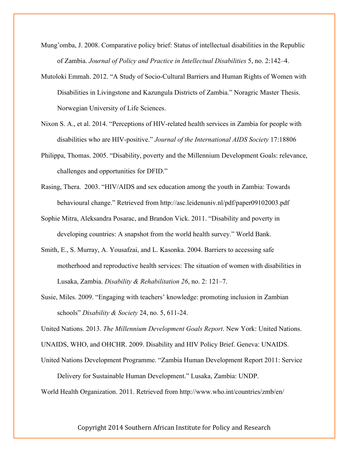- Mung'omba, J. 2008. Comparative policy brief: Status of intellectual disabilities in the Republic of Zambia. *Journal of Policy and Practice in Intellectual Disabilities* 5, no. 2:142–4.
- Mutoloki Emmah. 2012. "A Study of Socio-Cultural Barriers and Human Rights of Women with Disabilities in Livingstone and Kazungula Districts of Zambia." Noragric Master Thesis. Norwegian University of Life Sciences.
- Nixon S. A., et al. 2014. "Perceptions of HIV-related health services in Zambia for people with disabilities who are HIV-positive." *Journal of the International AIDS Society* 17:18806
- Philippa, Thomas. 2005. "Disability, poverty and the Millennium Development Goals: relevance, challenges and opportunities for DFID."
- Rasing, Thera. 2003. "HIV/AIDS and sex education among the youth in Zambia: Towards behavioural change." Retrieved from http://asc.leidenuniv.nl/pdf/paper09102003.pdf
- Sophie Mitra, Aleksandra Posarac, and Brandon Vick. 2011. "Disability and poverty in developing countries: A snapshot from the world health survey." World Bank.
- Smith, E., S. Murray, A. Yousafzai, and L. Kasonka. 2004. Barriers to accessing safe motherhood and reproductive health services: The situation of women with disabilities in Lusaka, Zambia. *Disability & Rehabilitation 26*, no. 2: 121–7.
- Susie, Miles. 2009. "Engaging with teachers' knowledge: promoting inclusion in Zambian schools" *Disability & Society* 24, no. 5, 611-24.

United Nations. 2013. *The Millennium Development Goals Report*. New York: United Nations.

UNAIDS, WHO, and OHCHR. 2009. Disability and HIV Policy Brief. Geneva: UNAIDS.

United Nations Development Programme. "Zambia Human Development Report 2011: Service Delivery for Sustainable Human Development." Lusaka, Zambia: UNDP.

World Health Organization. 2011. Retrieved from http://www.who.int/countries/zmb/en/